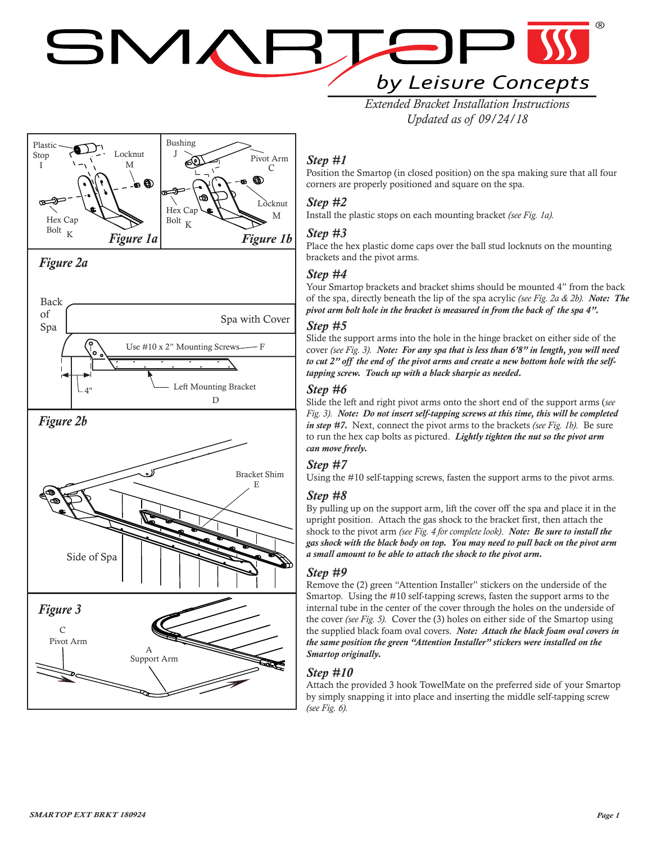# SMAF by Leisure Concepts

*Extended Bracket Installation Instructions Updated as of 09/24/18*



# *Step #1*

Position the Smartop (in closed position) on the spa making sure that all four corners are properly positioned and square on the spa.

# *Step #2*

Install the plastic stops on each mounting bracket *(see Fig. 1a).*

#### *Step #3*

Place the hex plastic dome caps over the ball stud locknuts on the mounting brackets and the pivot arms*.*

# *Step #4*

Your Smartop brackets and bracket shims should be mounted 4" from the back of the spa, directly beneath the lip of the spa acrylic *(see Fig. 2a & 2b). Note: The pivot arm bolt hole in the bracket is measured in from the back of the spa 4".*

# *Step #5*

Slide the support arms into the hole in the hinge bracket on either side of the cover *(see Fig. 3). Note: For any spa that is less than 6'8" in length, you will need to cut 2" off the end of the pivot arms and create a new bottom hole with the selftapping screw. Touch up with a black sharpie as needed.*

#### *Step #6*

Slide the left and right pivot arms onto the short end of the support arms (*see Fig. 3). Note: Do not insert self-tapping screws at this time, this will be completed in step #7.* Next, connect the pivot arms to the brackets *(see Fig. 1b).* Be sure to run the hex cap bolts as pictured. *Lightly tighten the nut so the pivot arm can move freely.*

#### *Step #7*

Using the #10 self-tapping screws, fasten the support arms to the pivot arms.

#### *Step #8*

By pulling up on the support arm, lift the cover off the spa and place it in the upright position. Attach the gas shock to the bracket first, then attach the shock to the pivot arm *(see Fig. 4 for complete look)*. *Note: Be sure to install the gas shock with the black body on top. You may need to pull back on the pivot arm a small amount to be able to attach the shock to the pivot arm.* 

#### *Step #9*

Remove the (2) green "Attention Installer" stickers on the underside of the Smartop. Using the #10 self-tapping screws, fasten the support arms to the internal tube in the center of the cover through the holes on the underside of the cover *(see Fig. 5).* Cover the (3) holes on either side of the Smartop using the supplied black foam oval covers. *Note: Attach the black foam oval covers in the same position the green "Attention Installer" stickers were installed on the Smartop originally.*

# *Step #10*

Attach the provided 3 hook TowelMate on the preferred side of your Smartop by simply snapping it into place and inserting the middle self-tapping screw *(see Fig. 6).*

Side of Spa

A Support Arm

Pivot Arm C

*Figure 3*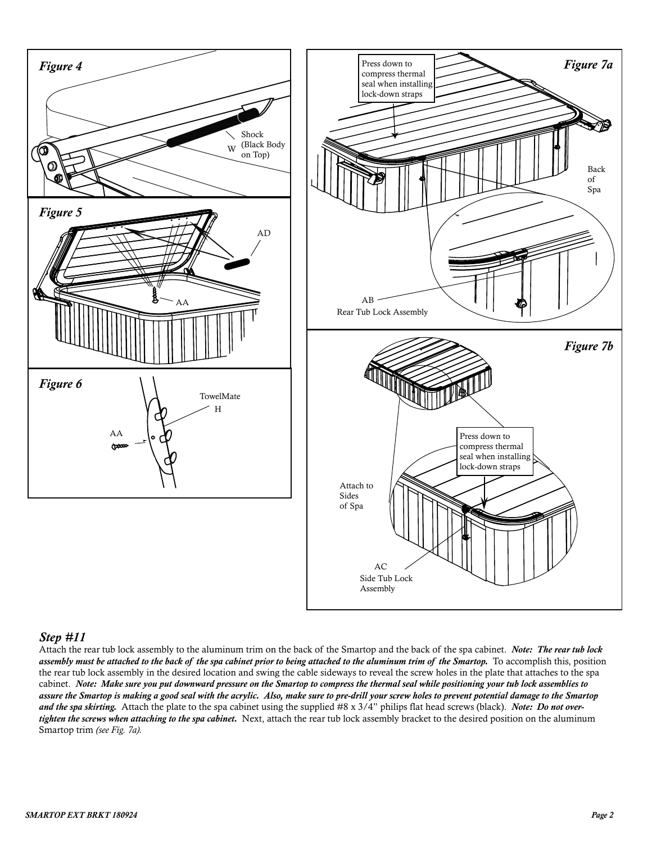



#### *Step #11*

Attach the rear tub lock assembly to the aluminum trim on the back of the Smartop and the back of the spa cabinet. *Note: The rear tub lock assembly must be attached to the back of the spa cabinet prior to being attached to the aluminum trim of the Smartop.* To accomplish this, position the rear tub lock assembly in the desired location and swing the cable sideways to reveal the screw holes in the plate that attaches to the spa cabinet. *Note: Make sure you put downward pressure on the Smartop to compress the thermal seal while positioning your tub lock assemblies to assure the Smartop is making a good seal with the acrylic. Also, make sure to pre-drill your screw holes to prevent potential damage to the Smartop and the spa skirting.* Attach the plate to the spa cabinet using the supplied #8 x 3/4" philips flat head screws (black). *Note: Do not overtighten the screws when attaching to the spa cabinet.* Next, attach the rear tub lock assembly bracket to the desired position on the aluminum Smartop trim *(see Fig. 7a).*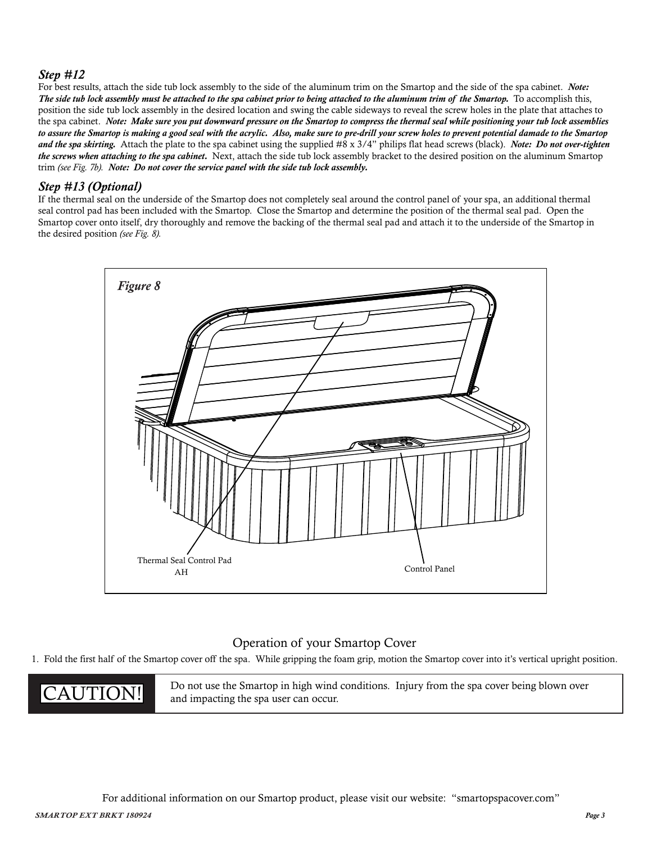# *Step #12*

For best results, attach the side tub lock assembly to the side of the aluminum trim on the Smartop and the side of the spa cabinet. *Note: The side tub lock assembly must be attached to the spa cabinet prior to being attached to the aluminum trim of the Smartop.* To accomplish this, position the side tub lock assembly in the desired location and swing the cable sideways to reveal the screw holes in the plate that attaches to the spa cabinet. *Note: Make sure you put downward pressure on the Smartop to compress the thermal seal while positioning your tub lock assemblies to assure the Smartop is making a good seal with the acrylic. Also, make sure to pre-drill your screw holes to prevent potential damade to the Smartop and the spa skirting.* Attach the plate to the spa cabinet using the supplied #8 x 3/4" philips flat head screws (black). *Note: Do not over-tighten the screws when attaching to the spa cabinet.* Next, attach the side tub lock assembly bracket to the desired position on the aluminum Smartop trim *(see Fig. 7b). Note: Do not cover the service panel with the side tub lock assembly.*

# *Step #13 (Optional)*

If the thermal seal on the underside of the Smartop does not completely seal around the control panel of your spa, an additional thermal seal control pad has been included with the Smartop. Close the Smartop and determine the position of the thermal seal pad. Open the Smartop cover onto itself, dry thoroughly and remove the backing of the thermal seal pad and attach it to the underside of the Smartop in the desired position *(see Fig. 8).*



# Operation of your Smartop Cover

1. Fold the first half of the Smartop cover off the spa. While gripping the foam grip, motion the Smartop cover into it's vertical upright position.

**CAUTION!** Do not use the Smartop in high wind conditions. Injury from the spa cover being blown over and impacting the spa user can occur. and impacting the spa user can occur.